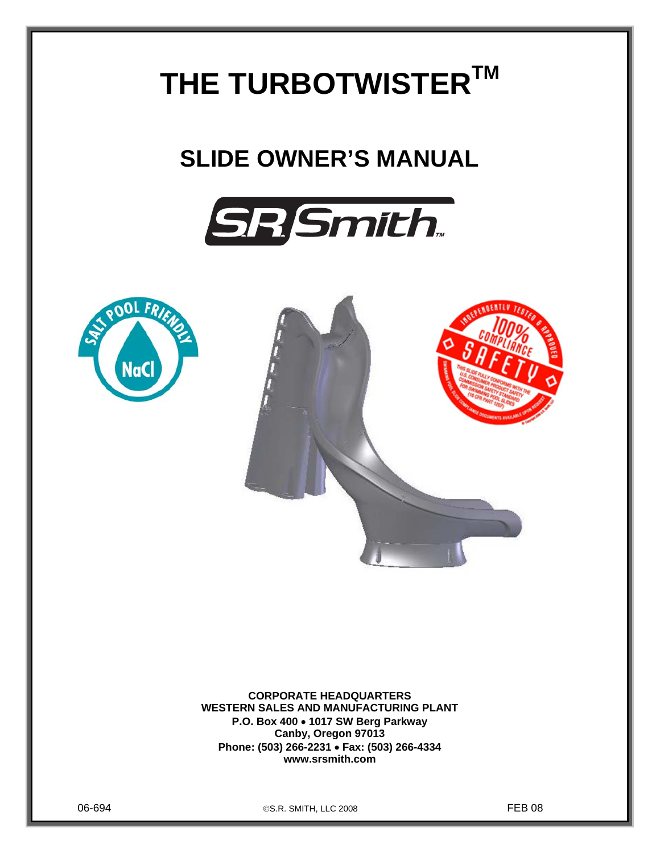# **THE TURBOTWISTERTM**

# **SLIDE OWNER'S MANUAL**







**CORPORATE HEADQUARTERS WESTERN SALES AND MANUFACTURING PLANT P.O. Box 400** • **1017 SW Berg Parkway Canby, Oregon 97013 Phone: (503) 266-2231** • **Fax: (503) 266-4334 www.srsmith.com** 

06-694 ©S.R. SMITH, LLC 2008 FEB 08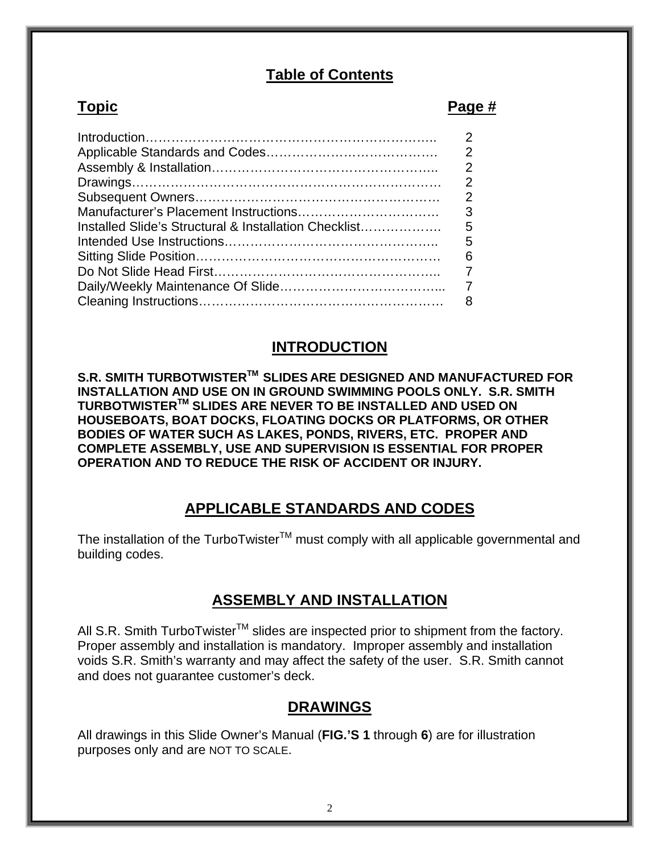# **Table of Contents**

## **Topic Page #**

|                                                       | 2             |
|-------------------------------------------------------|---------------|
|                                                       | 2             |
|                                                       | $\mathcal{P}$ |
|                                                       | 2             |
|                                                       | 3             |
| Installed Slide's Structural & Installation Checklist | 5             |
|                                                       | 5             |
|                                                       | 6             |
|                                                       |               |
|                                                       |               |
|                                                       | 8             |
|                                                       |               |

# **INTRODUCTION**

**S.R. SMITH TURBOTWISTERTM SLIDES ARE DESIGNED AND MANUFACTURED FOR INSTALLATION AND USE ON IN GROUND SWIMMING POOLS ONLY. S.R. SMITH TURBOTWISTERTM SLIDES ARE NEVER TO BE INSTALLED AND USED ON HOUSEBOATS, BOAT DOCKS, FLOATING DOCKS OR PLATFORMS, OR OTHER BODIES OF WATER SUCH AS LAKES, PONDS, RIVERS, ETC. PROPER AND COMPLETE ASSEMBLY, USE AND SUPERVISION IS ESSENTIAL FOR PROPER OPERATION AND TO REDUCE THE RISK OF ACCIDENT OR INJURY.** 

# **APPLICABLE STANDARDS AND CODES**

The installation of the TurboTwister<sup>TM</sup> must comply with all applicable governmental and building codes.

# **ASSEMBLY AND INSTALLATION**

All S.R. Smith TurboTwister<sup>TM</sup> slides are inspected prior to shipment from the factory. Proper assembly and installation is mandatory. Improper assembly and installation voids S.R. Smith's warranty and may affect the safety of the user. S.R. Smith cannot and does not guarantee customer's deck.

# **DRAWINGS**

All drawings in this Slide Owner's Manual (**FIG.'S 1** through **6**) are for illustration purposes only and are NOT TO SCALE.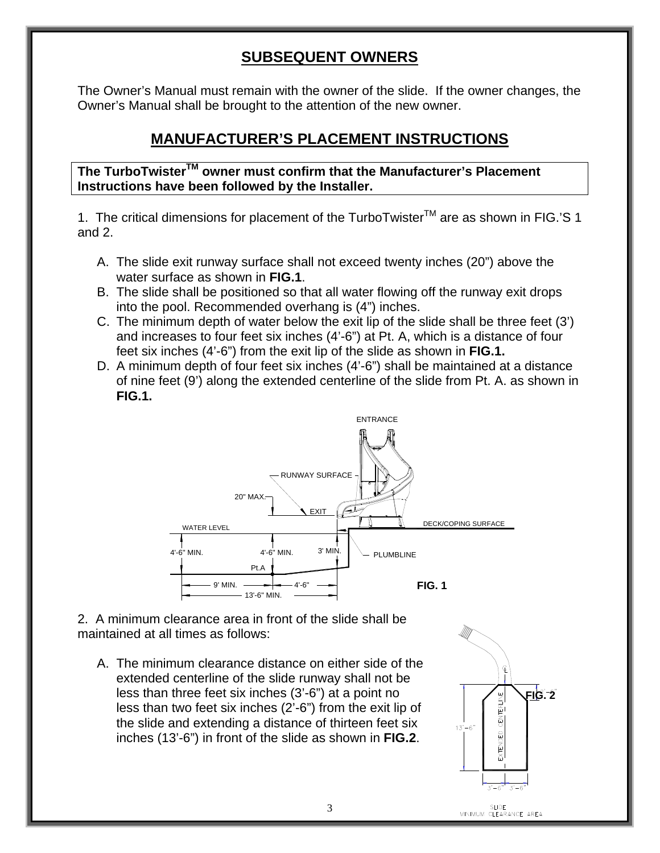# **SUBSEQUENT OWNERS**

The Owner's Manual must remain with the owner of the slide. If the owner changes, the Owner's Manual shall be brought to the attention of the new owner.

# **MANUFACTURER'S PLACEMENT INSTRUCTIONS**

**The TurboTwisterTM owner must confirm that the Manufacturer's Placement Instructions have been followed by the Installer.** 

1. The critical dimensions for placement of the TurboTwister<sup>TM</sup> are as shown in FIG.'S 1 and 2.

- A. The slide exit runway surface shall not exceed twenty inches (20") above the water surface as shown in **FIG.1**.
- B. The slide shall be positioned so that all water flowing off the runway exit drops into the pool. Recommended overhang is (4") inches.
- C. The minimum depth of water below the exit lip of the slide shall be three feet (3') and increases to four feet six inches (4'-6") at Pt. A, which is a distance of four feet six inches (4'-6") from the exit lip of the slide as shown in **FIG.1.**
- D. A minimum depth of four feet six inches (4'-6") shall be maintained at a distance of nine feet (9') along the extended centerline of the slide from Pt. A. as shown in **FIG.1.**



2. A minimum clearance area in front of the slide shall be maintained at all times as follows:

A. The minimum clearance distance on either side of the extended centerline of the slide runway shall not be less than three feet six inches (3'-6") at a point no less than two feet six inches (2'-6") from the exit lip of the slide and extending a distance of thirteen feet six inches (13'-6") in front of the slide as shown in **FIG.2**.

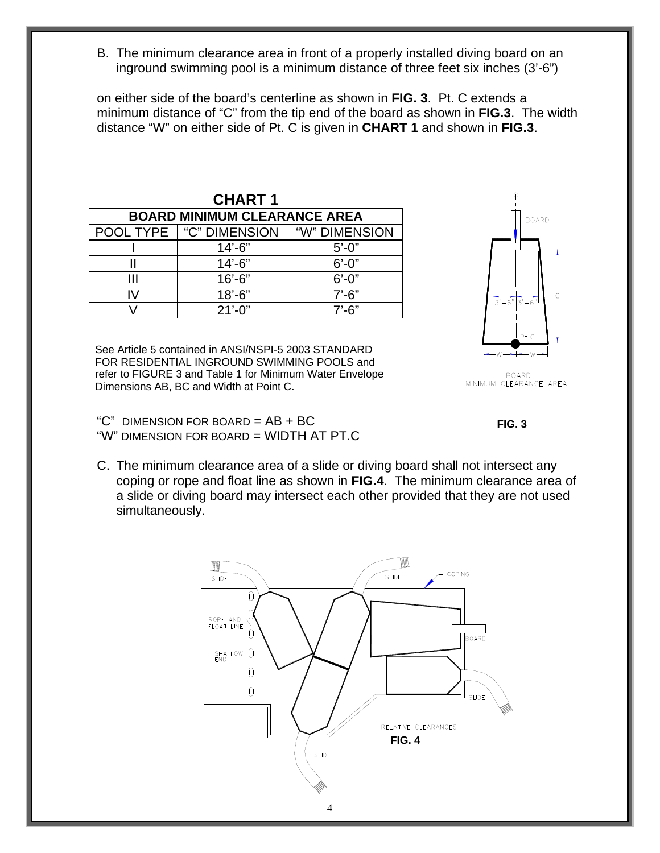B. The minimum clearance area in front of a properly installed diving board on an inground swimming pool is a minimum distance of three feet six inches (3'-6")

on either side of the board's centerline as shown in **FIG. 3**. Pt. C extends a minimum distance of "C" from the tip end of the board as shown in **FIG.3**. The width distance "W" on either side of Pt. C is given in **CHART 1** and shown in **FIG.3**.

| <b>CHART 1</b>                      |                                  |               |  |
|-------------------------------------|----------------------------------|---------------|--|
| <b>BOARD MINIMUM CLEARANCE AREA</b> |                                  |               |  |
|                                     | <b>POOL TYPE   "C" DIMENSION</b> | "W" DIMENSION |  |
|                                     | $14 - 6"$                        | $5' - 0''$    |  |
|                                     | $14' - 6''$                      | $6' - 0''$    |  |
| Ш                                   | $16' - 6"$                       | $6' - 0''$    |  |
|                                     | $18' - 6"$                       | $7' - 6''$    |  |
|                                     | $21' - 0''$                      | $7'$ -6"      |  |

See Article 5 contained in ANSI/NSPI-5 2003 STANDARD FOR RESIDENTIAL INGROUND SWIMMING POOLS and refer to FIGURE 3 and Table 1 for Minimum Water Envelope Dimensions AB, BC and Width at Point C.



BOARD<br>MINIMUM CLEARANCE AREA

" $C$ " DIMENSION FOR BOARD =  $AB + BC$ "W" DIMENSION FOR BOARD = WIDTH AT PT.C



C. The minimum clearance area of a slide or diving board shall not intersect any coping or rope and float line as shown in **FIG.4**. The minimum clearance area of a slide or diving board may intersect each other provided that they are not used simultaneously.

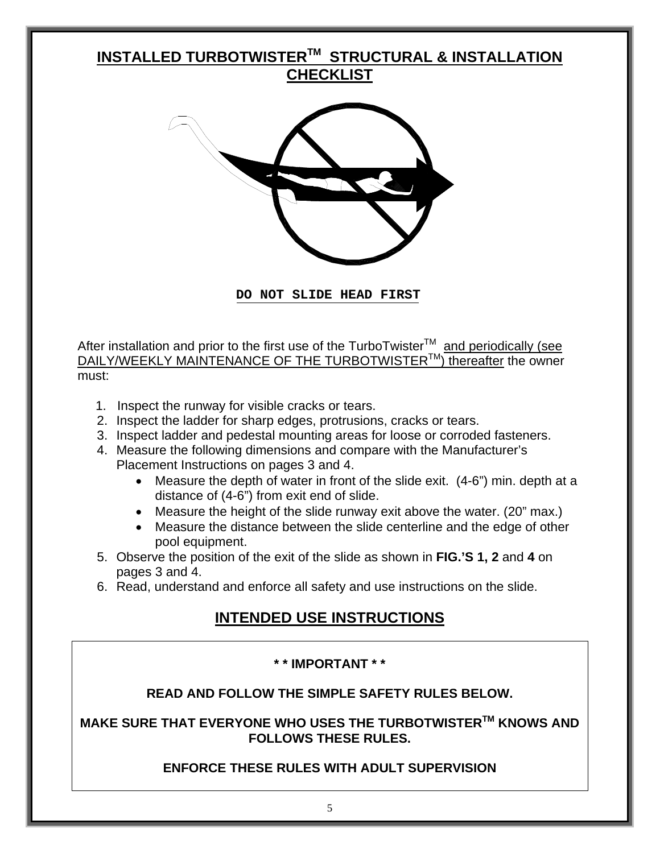# **INSTALLED TURBOTWISTER™ STRUCTURAL & INSTALLATION CHECKLIST**



**DO NOT SLIDE HEAD FIRST**

After installation and prior to the first use of the TurboTwister<sup>TM</sup> and periodically (see DAILY/WEEKLY MAINTENANCE OF THE TURBOTWISTER<sup>TM</sup>) thereafter the owner must:

- 1. Inspect the runway for visible cracks or tears.
- 2. Inspect the ladder for sharp edges, protrusions, cracks or tears.
- 3. Inspect ladder and pedestal mounting areas for loose or corroded fasteners.
- 4. Measure the following dimensions and compare with the Manufacturer's Placement Instructions on pages 3 and 4.
	- Measure the depth of water in front of the slide exit. (4-6") min. depth at a distance of (4-6") from exit end of slide.
	- Measure the height of the slide runway exit above the water. (20" max.)
	- Measure the distance between the slide centerline and the edge of other pool equipment.
- 5. Observe the position of the exit of the slide as shown in **FIG.'S 1, 2** and **4** on pages 3 and 4.
- 6. Read, understand and enforce all safety and use instructions on the slide.

# **INTENDED USE INSTRUCTIONS**

#### **\* \* IMPORTANT \* \***

## **READ AND FOLLOW THE SIMPLE SAFETY RULES BELOW.**

### **MAKE SURE THAT EVERYONE WHO USES THE TURBOTWISTER™ KNOWS AND FOLLOWS THESE RULES.**

#### **ENFORCE THESE RULES WITH ADULT SUPERVISION**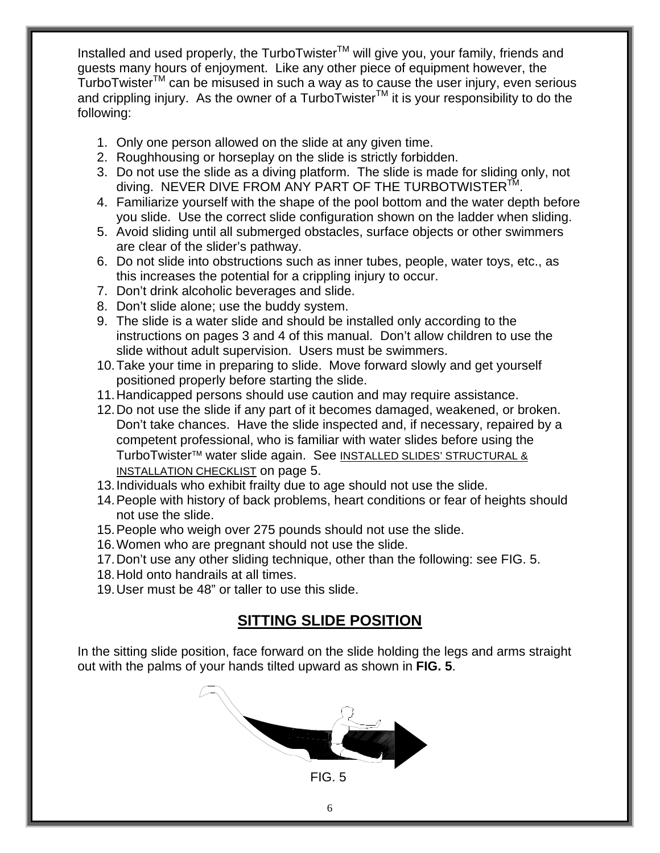Installed and used properly, the TurboTwister<sup>TM</sup> will give you, your family, friends and guests many hours of enjoyment. Like any other piece of equipment however, the  $T$ urbo $T$ wister $T$ <sup>M</sup> can be misused in such a way as to cause the user injury, even serious and crippling injury. As the owner of a TurboTwister<sup>TM</sup> it is your responsibility to do the following:

- 1. Only one person allowed on the slide at any given time.
- 2. Roughhousing or horseplay on the slide is strictly forbidden.
- 3. Do not use the slide as a diving platform. The slide is made for sliding only, not diving. NEVER DIVE FROM ANY PART OF THE TURBOTWISTER<sup>TM</sup>.
- 4. Familiarize yourself with the shape of the pool bottom and the water depth before you slide. Use the correct slide configuration shown on the ladder when sliding.
- 5. Avoid sliding until all submerged obstacles, surface objects or other swimmers are clear of the slider's pathway.
- 6. Do not slide into obstructions such as inner tubes, people, water toys, etc., as this increases the potential for a crippling injury to occur.
- 7. Don't drink alcoholic beverages and slide.
- 8. Don't slide alone; use the buddy system.
- 9. The slide is a water slide and should be installed only according to the instructions on pages 3 and 4 of this manual. Don't allow children to use the slide without adult supervision. Users must be swimmers.
- 10. Take your time in preparing to slide. Move forward slowly and get yourself positioned properly before starting the slide.
- 11. Handicapped persons should use caution and may require assistance.
- 12. Do not use the slide if any part of it becomes damaged, weakened, or broken. Don't take chances. Have the slide inspected and, if necessary, repaired by a competent professional, who is familiar with water slides before using the TurboTwister™ water slide again. See INSTALLED SLIDES' STRUCTURAL & INSTALLATION CHECKLIST on page 5.
- 13. Individuals who exhibit frailty due to age should not use the slide.
- 14. People with history of back problems, heart conditions or fear of heights should not use the slide.
- 15. People who weigh over 275 pounds should not use the slide.
- 16. Women who are pregnant should not use the slide.
- 17. Don't use any other sliding technique, other than the following: see FIG. 5.
- 18. Hold onto handrails at all times.
- 19. User must be 48" or taller to use this slide.

# **SITTING SLIDE POSITION**

In the sitting slide position, face forward on the slide holding the legs and arms straight out with the palms of your hands tilted upward as shown in **FIG. 5**.

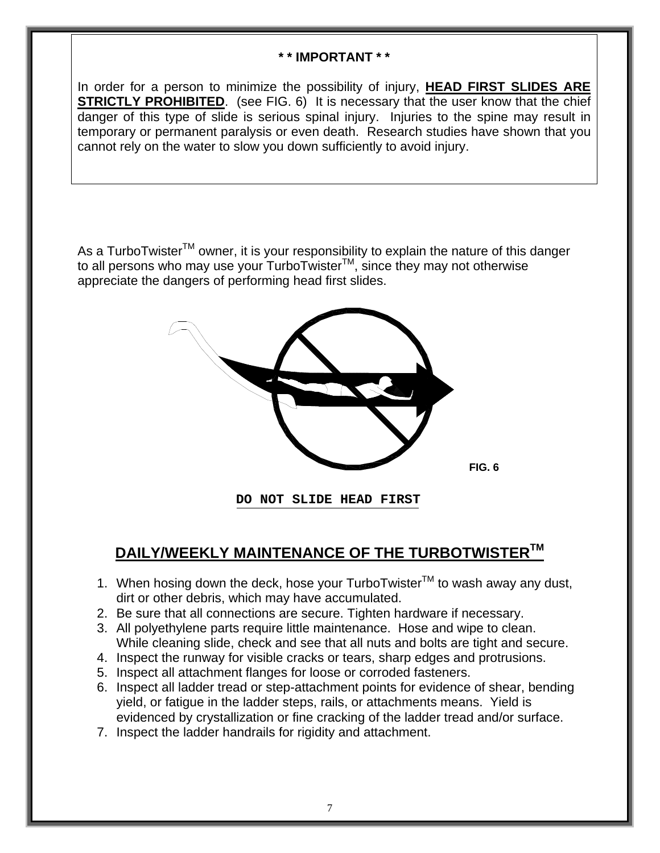#### **\* \* IMPORTANT \* \***

In order for a person to minimize the possibility of injury, **HEAD FIRST SLIDES ARE STRICTLY PROHIBITED.** (see FIG. 6) It is necessary that the user know that the chief danger of this type of slide is serious spinal injury. Injuries to the spine may result in temporary or permanent paralysis or even death. Research studies have shown that you cannot rely on the water to slow you down sufficiently to avoid injury.

As a TurboTwister<sup>™</sup> owner, it is your responsibility to explain the nature of this danger to all persons who may use your TurboTwister™, since they may not otherwise appreciate the dangers of performing head first slides.



**DO NOT SLIDE HEAD FIRST**

# **DAILY/WEEKLY MAINTENANCE OF THE TURBOTWISTERTM**

- 1. When hosing down the deck, hose your TurboTwister<sup>TM</sup> to wash away any dust, dirt or other debris, which may have accumulated.
- 2. Be sure that all connections are secure. Tighten hardware if necessary.
- 3. All polyethylene parts require little maintenance. Hose and wipe to clean. While cleaning slide, check and see that all nuts and bolts are tight and secure.
- 4. Inspect the runway for visible cracks or tears, sharp edges and protrusions.
- 5. Inspect all attachment flanges for loose or corroded fasteners.
- 6. Inspect all ladder tread or step-attachment points for evidence of shear, bending yield, or fatigue in the ladder steps, rails, or attachments means. Yield is evidenced by crystallization or fine cracking of the ladder tread and/or surface.
- 7. Inspect the ladder handrails for rigidity and attachment.